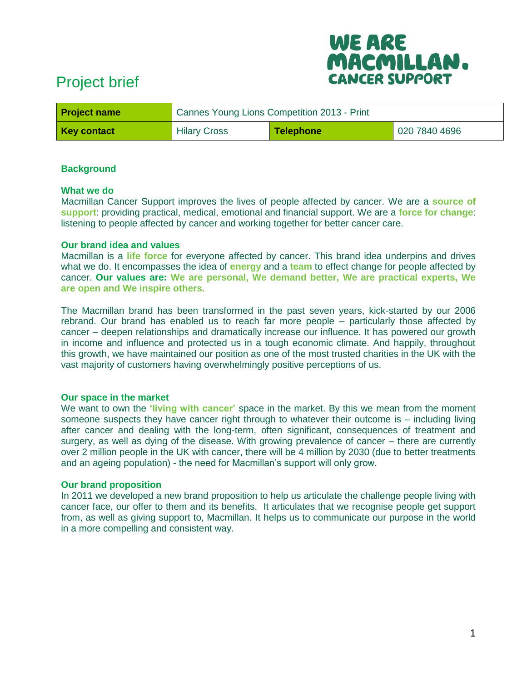# Project brief



| <b>Project name</b> | Cannes Young Lions Competition 2013 - Print |           |               |  |
|---------------------|---------------------------------------------|-----------|---------------|--|
| <b>Key contact</b>  | <b>Hilary Cross</b>                         | Telephone | 020 7840 4696 |  |

## **Background**

#### **What we do**

Macmillan Cancer Support improves the lives of people affected by cancer. We are a **source of support**: providing practical, medical, emotional and financial support. We are a **force for change**: listening to people affected by cancer and working together for better cancer care.

#### **Our brand idea and values**

Macmillan is a **life force** for everyone affected by cancer. This brand idea underpins and drives what we do. It encompasses the idea of **energy** and a **team** to effect change for people affected by cancer. **Our values are: We are personal, We demand better, We are practical experts, We are open and We inspire others.**

The Macmillan brand has been transformed in the past seven years, kick-started by our 2006 rebrand. Our brand has enabled us to reach far more people – particularly those affected by cancer – deepen relationships and dramatically increase our influence. It has powered our growth in income and influence and protected us in a tough economic climate. And happily, throughout this growth, we have maintained our position as one of the most trusted charities in the UK with the vast majority of customers having overwhelmingly positive perceptions of us.

### **Our space in the market**

We want to own the **'living with cancer'** space in the market. By this we mean from the moment someone suspects they have cancer right through to whatever their outcome is – including living after cancer and dealing with the long-term, often significant, consequences of treatment and surgery, as well as dying of the disease. With growing prevalence of cancer – there are currently over 2 million people in the UK with cancer, there will be 4 million by 2030 (due to better treatments and an ageing population) - the need for Macmillan's support will only grow.

### **Our brand proposition**

In 2011 we developed a new brand proposition to help us articulate the challenge people living with cancer face, our offer to them and its benefits. It articulates that we recognise people get support from, as well as giving support to, Macmillan. It helps us to communicate our purpose in the world in a more compelling and consistent way.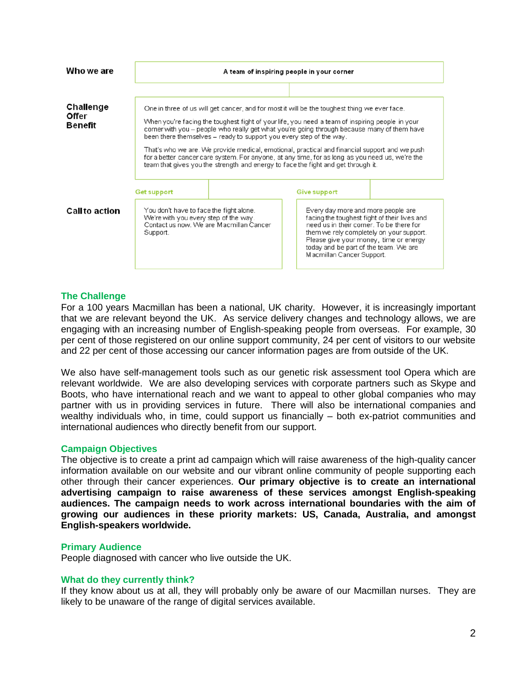| Who we are                           | A team of inspiring people in your corner                                                                                                                                                                                                                                                                                                                                                                                                                                                                                                                                                                                                                      |  |                     |                                                                                                                                                                                                                                                                                            |  |
|--------------------------------------|----------------------------------------------------------------------------------------------------------------------------------------------------------------------------------------------------------------------------------------------------------------------------------------------------------------------------------------------------------------------------------------------------------------------------------------------------------------------------------------------------------------------------------------------------------------------------------------------------------------------------------------------------------------|--|---------------------|--------------------------------------------------------------------------------------------------------------------------------------------------------------------------------------------------------------------------------------------------------------------------------------------|--|
|                                      |                                                                                                                                                                                                                                                                                                                                                                                                                                                                                                                                                                                                                                                                |  |                     |                                                                                                                                                                                                                                                                                            |  |
| Challenge<br>Offer<br><b>Benefit</b> | One in three of us will get cancer, and for most it will be the toughest thing we ever face.<br>When you're facing the toughest fight of your life, you need a team of inspiring people in your<br>corner with you – people who really get what you're going through because many of them have<br>been there themselves - ready to support you every step of the way.<br>That's who we are. We provide medical, emotional, practical and financial support and we push<br>for a better cancer care system. For anyone, at any time, for as long as you need us, we're the<br>team that gives you the strength and energy to face the fight and get through it. |  |                     |                                                                                                                                                                                                                                                                                            |  |
|                                      | <b>Get support</b>                                                                                                                                                                                                                                                                                                                                                                                                                                                                                                                                                                                                                                             |  | <b>Give support</b> |                                                                                                                                                                                                                                                                                            |  |
| <b>Call to action</b>                | You don't have to face the fight alone.<br>We're with you every step of the way.<br>Contact us now. We are Macmillan Cancer<br>Support.                                                                                                                                                                                                                                                                                                                                                                                                                                                                                                                        |  |                     | Every day more and more people are<br>facing the toughest fight of their lives and<br>need us in their corner. To be there for<br>them we rely completely on your support.<br>Please give your money, time or energy<br>today and be part of the team. We are<br>Macmillan Cancer Support. |  |

## **The Challenge**

For a 100 years Macmillan has been a national, UK charity. However, it is increasingly important that we are relevant beyond the UK. As service delivery changes and technology allows, we are engaging with an increasing number of English-speaking people from overseas. For example, 30 per cent of those registered on our online support community, 24 per cent of visitors to our website and 22 per cent of those accessing our cancer information pages are from outside of the UK.

We also have self-management tools such as our genetic risk assessment tool Opera which are relevant worldwide. We are also developing services with corporate partners such as Skype and Boots, who have international reach and we want to appeal to other global companies who may partner with us in providing services in future. There will also be international companies and wealthy individuals who, in time, could support us financially – both ex-patriot communities and international audiences who directly benefit from our support.

### **Campaign Objectives**

The objective is to create a print ad campaign which will raise awareness of the high-quality cancer information available on our website and our vibrant online community of people supporting each other through their cancer experiences. **Our primary objective is to create an international advertising campaign to raise awareness of these services amongst English-speaking audiences. The campaign needs to work across international boundaries with the aim of growing our audiences in these priority markets: US, Canada, Australia, and amongst English-speakers worldwide.**

### **Primary Audience**

People diagnosed with cancer who live outside the UK.

#### **What do they currently think?**

If they know about us at all, they will probably only be aware of our Macmillan nurses. They are likely to be unaware of the range of digital services available.